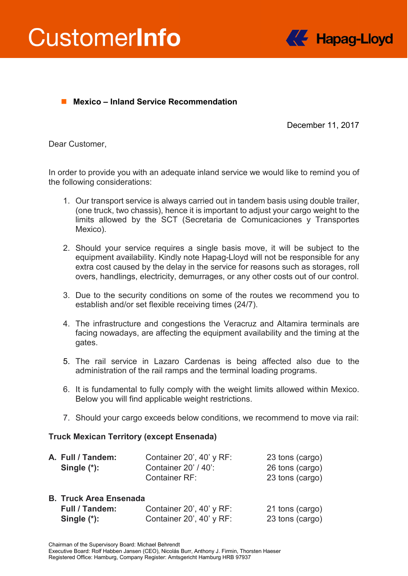



# ■ Mexico – **Inland Service Recommendation**

December 11, 2017

Dear Customer,

In order to provide you with an adequate inland service we would like to remind you of the following considerations:

- 1. Our transport service is always carried out in tandem basis using double trailer, (one truck, two chassis), hence it is important to adjust your cargo weight to the limits allowed by the SCT (Secretaria de Comunicaciones y Transportes Mexico).
- 2. Should your service requires a single basis move, it will be subject to the equipment availability. Kindly note Hapag-Lloyd will not be responsible for any extra cost caused by the delay in the service for reasons such as storages, roll overs, handlings, electricity, demurrages, or any other costs out of our control.
- 3. Due to the security conditions on some of the routes we recommend you to establish and/or set flexible receiving times (24/7).
- 4. The infrastructure and congestions the Veracruz and Altamira terminals are facing nowadays, are affecting the equipment availability and the timing at the gates.
- 5. The rail service in Lazaro Cardenas is being affected also due to the administration of the rail ramps and the terminal loading programs.
- 6. It is fundamental to fully comply with the weight limits allowed within Mexico. Below you will find applicable weight restrictions.
- 7. Should your cargo exceeds below conditions, we recommend to move via rail:

### **Truck Mexican Territory (except Ensenada)**

| A. Full / Tandem:<br>Single $(*)$ : | Container 20', 40' y RF:<br>Container 20' / 40':<br>Container RF: | 23 tons (cargo)<br>26 tons (cargo)<br>23 tons (cargo) |
|-------------------------------------|-------------------------------------------------------------------|-------------------------------------------------------|
| <b>B. Truck Area Ensenada</b>       |                                                                   |                                                       |
| Full / Tandem:                      | Container 20', 40' y RF:                                          | 21 tons (cargo)                                       |
| Single $(*)$ :                      | Container 20', 40' y RF:                                          | 23 tons (cargo)                                       |

Executive Board: Rolf Habben Jansen (CEO), Nicolás Burr, Anthony J. Firmin, Thorsten Haeser Registered Office: Hamburg, Company Register: Amtsgericht Hamburg HRB 97937